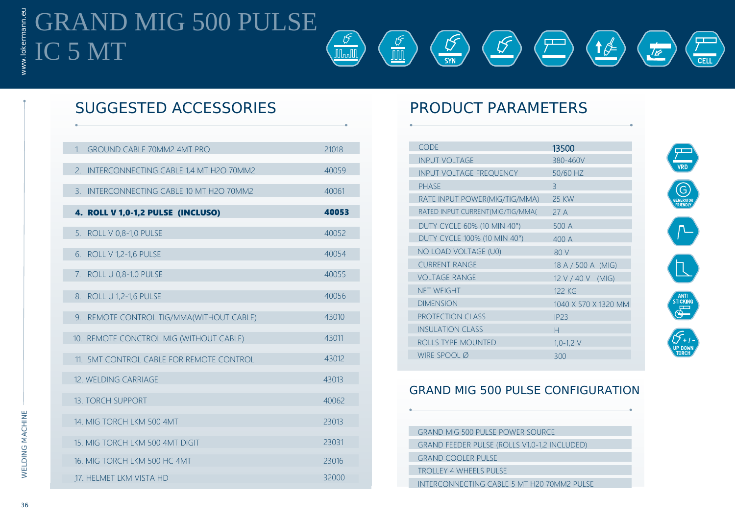# GRAND MIG 500 PULSE IC 5 MT



## SUGGESTED ACCESSORIES PRODUCT PARAMETERS

| $\mathbf{1}$   | <b>GROUND CABLE 70MM2 4MT PRO</b>        | 21018 |
|----------------|------------------------------------------|-------|
| $\mathcal{P}$  | INTERCONNECTING CABLE 1,4 MT H2O 70MM2   | 40059 |
| $\mathbf{B}$ . | INTERCONNECTING CABLE 10 MT H2O 70MM2    | 40061 |
|                | 4. ROLL V 1,0-1,2 PULSE (INCLUSO)        | 40053 |
|                | 5. ROLL V 0,8-1,0 PULSE                  | 40052 |
|                | 6. ROLL V 1,2-1,6 PULSE                  | 40054 |
|                | 7. ROLL U 0,8-1,0 PULSE                  | 40055 |
|                | 8. ROLL U 1,2-1,6 PULSE                  | 40056 |
|                | 9. REMOTE CONTROL TIG/MMA(WITHOUT CABLE) | 43010 |
|                | 10. REMOTE CONCTROL MIG (WITHOUT CABLE)  | 43011 |
|                | 11. SMT CONTROL CABLE FOR REMOTE CONTROL | 43012 |
|                | 12. WELDING CARRIAGE                     | 43013 |
|                | <b>13. TORCH SUPPORT</b>                 | 40062 |
|                | 14. MIG TORCH LKM 500 4MT                | 23013 |
|                | 15. MIG TORCH LKM 500 4MT DIGIT          | 23031 |
|                | 16. MIG TORCH LKM 500 HC 4MT             | 23016 |
|                | 17. HELMET LKM VISTA HD                  | 32000 |
|                |                                          |       |

| <b>CODE</b>                      | 13500                |
|----------------------------------|----------------------|
| <b>INPUT VOLTAGE</b>             | 380-460V             |
| <b>INPUT VOLTAGE FREQUENCY</b>   | 50/60 HZ             |
| <b>PHASE</b>                     | $\mathcal{R}$        |
| RATE INPUT POWER(MIG/TIG/MMA)    | <b>25 KW</b>         |
| RATED INPUT CURRENT(MIG/TIG/MMA( | 27 A                 |
| DUTY CYCLE 60% (10 MIN 40°)      | 500 A                |
| DUTY CYCLE 100% (10 MIN 40°)     | 400A                 |
| NO LOAD VOLTAGE (U0)             | 80 V                 |
| <b>CURRENT RANGE</b>             | 18 A / 500 A (MIG)   |
| <b>VOLTAGE RANGE</b>             | $12 V / 40 V$ (MIG)  |
| <b>NET WEIGHT</b>                | 122 KG               |
| <b>DIMENSION</b>                 | 1040 X 570 X 1320 MM |
| <b>PROTECTION CLASS</b>          | IP23                 |
| <b>INSULATION CLASS</b>          | н                    |
| ROLLS TYPE MOUNTED               | $1,0-1,2$ V          |
| WIRE SPOOL $\varnothing$         | 300                  |
|                                  |                      |



### GRAND MIG 500 PULSE CONFIGURATION

| <b>GRAND MIG 500 PULSE POWER SOURCE</b>      |
|----------------------------------------------|
|                                              |
| GRAND FEEDER PULSE (ROLLS V1,0-1,2 INCLUDED) |
|                                              |
| <b>GRAND COOLER PULSE</b>                    |
|                                              |
| <b>TROLLEY 4 WHEELS PULSE</b>                |
|                                              |
| INTERCONNECTING CABLE 5 MT H20 70MM2 PULSE   |
|                                              |

ww

36